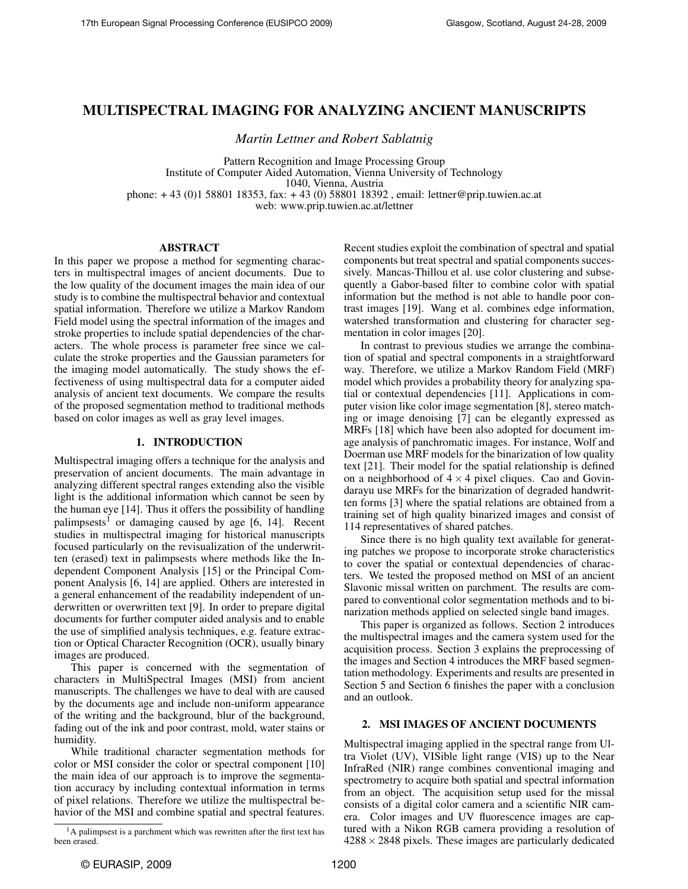## MULTISPECTRAL IMAGING FOR ANALYZING ANCIENT MANUSCRIPTS

*Martin Lettner and Robert Sablatnig*

Pattern Recognition and Image Processing Group Institute of Computer Aided Automation, Vienna University of Technology 1040, Vienna, Austria phone: + 43 (0)1 58801 18353, fax: + 43 (0) 58801 18392 , email: lettner@prip.tuwien.ac.at web: www.prip.tuwien.ac.at/lettner

## ABSTRACT

In this paper we propose a method for segmenting characters in multispectral images of ancient documents. Due to the low quality of the document images the main idea of our study is to combine the multispectral behavior and contextual spatial information. Therefore we utilize a Markov Random Field model using the spectral information of the images and stroke properties to include spatial dependencies of the characters. The whole process is parameter free since we calculate the stroke properties and the Gaussian parameters for the imaging model automatically. The study shows the effectiveness of using multispectral data for a computer aided analysis of ancient text documents. We compare the results of the proposed segmentation method to traditional methods based on color images as well as gray level images.

### 1. INTRODUCTION

Multispectral imaging offers a technique for the analysis and preservation of ancient documents. The main advantage in analyzing different spectral ranges extending also the visible light is the additional information which cannot be seen by the human eye [14]. Thus it offers the possibility of handling palimpsests<sup>1</sup> or damaging caused by age  $[6, 14]$ . Recent studies in multispectral imaging for historical manuscripts focused particularly on the revisualization of the underwritten (erased) text in palimpsests where methods like the Independent Component Analysis [15] or the Principal Component Analysis [6, 14] are applied. Others are interested in a general enhancement of the readability independent of underwritten or overwritten text [9]. In order to prepare digital documents for further computer aided analysis and to enable the use of simplified analysis techniques, e.g. feature extraction or Optical Character Recognition (OCR), usually binary images are produced.

This paper is concerned with the segmentation of characters in MultiSpectral Images (MSI) from ancient manuscripts. The challenges we have to deal with are caused by the documents age and include non-uniform appearance of the writing and the background, blur of the background, fading out of the ink and poor contrast, mold, water stains or humidity.

While traditional character segmentation methods for color or MSI consider the color or spectral component [10] the main idea of our approach is to improve the segmentation accuracy by including contextual information in terms of pixel relations. Therefore we utilize the multispectral behavior of the MSI and combine spatial and spectral features.

Recent studies exploit the combination of spectral and spatial components but treat spectral and spatial components successively. Mancas-Thillou et al. use color clustering and subsequently a Gabor-based filter to combine color with spatial information but the method is not able to handle poor contrast images [19]. Wang et al. combines edge information, watershed transformation and clustering for character segmentation in color images [20].

In contrast to previous studies we arrange the combination of spatial and spectral components in a straightforward way. Therefore, we utilize a Markov Random Field (MRF) model which provides a probability theory for analyzing spatial or contextual dependencies [11]. Applications in computer vision like color image segmentation [8], stereo matching or image denoising [7] can be elegantly expressed as MRFs [18] which have been also adopted for document image analysis of panchromatic images. For instance, Wolf and Doerman use MRF models for the binarization of low quality text [21]. Their model for the spatial relationship is defined on a neighborhood of  $4 \times 4$  pixel cliques. Cao and Govindarayu use MRFs for the binarization of degraded handwritten forms [3] where the spatial relations are obtained from a training set of high quality binarized images and consist of 114 representatives of shared patches.

Since there is no high quality text available for generating patches we propose to incorporate stroke characteristics to cover the spatial or contextual dependencies of characters. We tested the proposed method on MSI of an ancient Slavonic missal written on parchment. The results are compared to conventional color segmentation methods and to binarization methods applied on selected single band images.

This paper is organized as follows. Section 2 introduces the multispectral images and the camera system used for the acquisition process. Section 3 explains the preprocessing of the images and Section 4 introduces the MRF based segmentation methodology. Experiments and results are presented in Section 5 and Section 6 finishes the paper with a conclusion and an outlook.

## 2. MSI IMAGES OF ANCIENT DOCUMENTS

Multispectral imaging applied in the spectral range from Ultra Violet (UV), VISible light range (VIS) up to the Near InfraRed (NIR) range combines conventional imaging and spectrometry to acquire both spatial and spectral information from an object. The acquisition setup used for the missal consists of a digital color camera and a scientific NIR camera. Color images and UV fluorescence images are captured with a Nikon RGB camera providing a resolution of  $4288 \times 2848$  pixels. These images are particularly dedicated

<sup>&</sup>lt;sup>1</sup>A palimpsest is a parchment which was rewritten after the first text has been erased.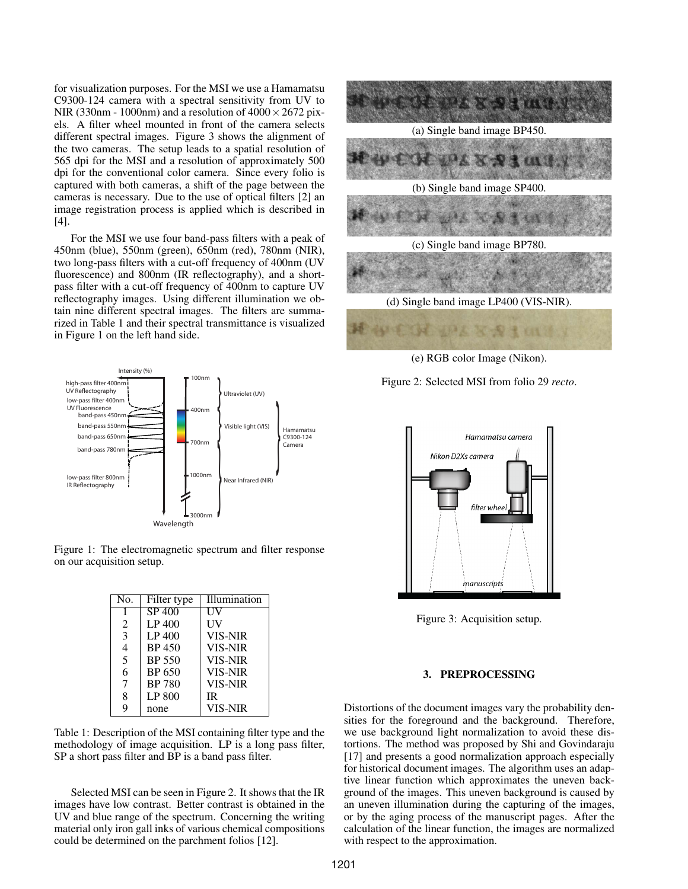for visualization purposes. For the MSI we use a Hamamatsu C9300-124 camera with a spectral sensitivity from UV to NIR (330nm - 1000nm) and a resolution of  $4000 \times 2672$  pixels. A filter wheel mounted in front of the camera selects different spectral images. Figure 3 shows the alignment of the two cameras. The setup leads to a spatial resolution of 565 dpi for the MSI and a resolution of approximately 500 dpi for the conventional color camera. Since every folio is captured with both cameras, a shift of the page between the cameras is necessary. Due to the use of optical filters [2] an image registration process is applied which is described in [4].

For the MSI we use four band-pass filters with a peak of 450nm (blue), 550nm (green), 650nm (red), 780nm (NIR), two long-pass filters with a cut-off frequency of 400nm (UV fluorescence) and 800nm (IR reflectography), and a shortpass filter with a cut-off frequency of 400nm to capture UV reflectography images. Using different illumination we obtain nine different spectral images. The filters are summarized in Table 1 and their spectral transmittance is visualized in Figure 1 on the left hand side.



Figure 1: The electromagnetic spectrum and filter response on our acquisition setup.

| No. | Filter type                | Illumination   |
|-----|----------------------------|----------------|
| 1   | $\overline{\text{SP }400}$ | НV             |
| 2   | LP 400                     | UV             |
| 3   | LP 400                     | <b>VIS-NIR</b> |
| 4   | <b>BP</b> 450              | <b>VIS-NIR</b> |
| 5   | BP 550                     | <b>VIS-NIR</b> |
| 6   | BP 650                     | <b>VIS-NIR</b> |
| 7   | <b>BP 780</b>              | <b>VIS-NIR</b> |
| 8   | LP 800                     | <b>IR</b>      |
| q   | none                       | <b>VIS-NIR</b> |

Table 1: Description of the MSI containing filter type and the methodology of image acquisition. LP is a long pass filter, SP a short pass filter and BP is a band pass filter.

Selected MSI can be seen in Figure 2. It shows that the IR images have low contrast. Better contrast is obtained in the UV and blue range of the spectrum. Concerning the writing material only iron gall inks of various chemical compositions could be determined on the parchment folios [12].



(e) RGB color Image (Nikon).





Figure 3: Acquisition setup.

#### 3. PREPROCESSING

Distortions of the document images vary the probability densities for the foreground and the background. Therefore, we use background light normalization to avoid these distortions. The method was proposed by Shi and Govindaraju [17] and presents a good normalization approach especially for historical document images. The algorithm uses an adaptive linear function which approximates the uneven background of the images. This uneven background is caused by an uneven illumination during the capturing of the images, or by the aging process of the manuscript pages. After the calculation of the linear function, the images are normalized with respect to the approximation.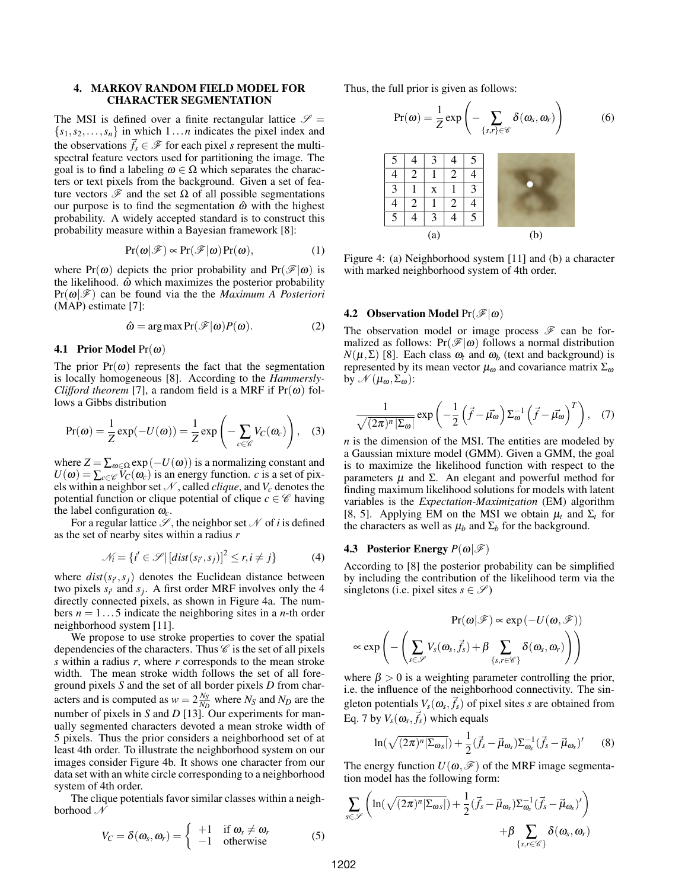## 4. MARKOV RANDOM FIELD MODEL FOR CHARACTER SEGMENTATION

The MSI is defined over a finite rectangular lattice  $\mathscr{S} =$  ${s_1, s_2,..., s_n}$  in which  $1...n$  indicates the pixel index and the observations  $\vec{f}_s \in \mathcal{F}$  for each pixel *s* represent the multispectral feature vectors used for partitioning the image. The goal is to find a labeling  $\omega \in \Omega$  which separates the characters or text pixels from the background. Given a set of feature vectors  $\mathcal F$  and the set  $\Omega$  of all possible segmentations our purpose is to find the segmentation  $\hat{\omega}$  with the highest probability. A widely accepted standard is to construct this probability measure within a Bayesian framework [8]:

$$
Pr(\boldsymbol{\omega}|\mathscr{F}) \propto Pr(\mathscr{F}|\boldsymbol{\omega}) Pr(\boldsymbol{\omega}), \qquad (1)
$$

where Pr( $\omega$ ) depicts the prior probability and Pr( $\mathcal{F}|\omega$ ) is the likelihood.  $\hat{\omega}$  which maximizes the posterior probability  $Pr(\boldsymbol{\omega}|\mathscr{F})$  can be found via the the *Maximum A Posteriori* (MAP) estimate [7]:  $3.2$  Observation Model Proposed Proposed Proposed Proposed Proposed Proposed Proposed Proposed Proposed Proposed Proposed Proposed Proposed Proposed Proposed Proposed Proposed Proposed Proposed Proposed Proposed Proposed

$$
\hat{\omega} = \arg \max \Pr(\mathcal{F}|\omega) P(\omega). \tag{2}
$$

#### **4.1 Prior Model Pr(** $\omega$ **)**

The prior  $Pr(\omega)$  represents the fact that the segmentation is locally homogeneous [8]. According to the *Hammersly-Clifford theorem* [7], a random field is a MRF if  $Pr(\omega)$  follows a Gibbs distribution

$$
Pr(\omega) = \frac{1}{Z} exp(-U(\omega)) = \frac{1}{Z} exp\left(-\sum_{c \in \mathscr{C}} V_C(\omega_c)\right), \quad (3)
$$

where  $Z = \sum_{\omega \in \Omega} \exp(-U(\omega))$  is a normalizing constant and  $U(\omega) = \sum_{c \in \mathscr{C}} V_C(\omega_c)$  is an energy function. *c* is a set of pixels within a neighbor set  $N$ , called *clique*, and  $V_c$  denotes the potential function or clique potential of clique *c*  $\in \mathcal{C}$  having the label configuration  $\omega_c$ . the label configuration  $\omega_c$ .

For a regular lattice  $\mathscr S$ , the neighbor set  $\mathscr N$  of *i* is defined as the set of nearby sites within a radius *r* The entities are modeled by a Gaussian mixture model

$$
\mathcal{N}_i = \{i' \in \mathcal{S} \mid [dist(s_{i'}, s_j)]^2 \le r, i \neq j\}
$$
 (4)

where  $dist(s_i, s_j)$  denotes the Euclidean distance between two pixels  $s_{i'}$  and  $s_j$ . A first order MRF involves only the 4 directly connected pixels, as shown in Figure 4a. The numthe extractive connected pixels, as shown in Figure 4a. The hum-<br>bers  $n = 1...5$  indicate the neighboring sites in a *n*-th order neighborhood system [11].

We propose to use stroke properties to cover the spatial  $\left( \begin{array}{ccc} \end{array} \right)$ dependencies of the characters. Thus  $\mathscr C$  is the set of all pixels *s* within a radius *r*, where *r* corresponds to the mean stroke width. The mean stroke width follows the set of all foreground pixels *S* and the set of all border pixels *D* from characters and is computed as  $w = 2\frac{N_S}{N_D}$  where  $N_S$  and  $N_D$  are the number of pixels in *S* and *D* [13]. Our experiments for manually segmented characters devoted a mean stroke width of 5 pixels. Thus the prior considers a neighborhood set of at least 4th order. To illustrate the neighborhood system on our images consider Figure 4b. It shows one character from our data set with an white circle corresponding to a neighborhood system of 4th order.

The clique potentials favor similar classes within a neighborhood  $\mathcal N$ 

$$
V_C = \delta(\omega_s, \omega_r) = \begin{cases} +1 & \text{if } \omega_s \neq \omega_r \\ -1 & \text{otherwise} \end{cases}
$$
 (5)

Thus, the full prior is given as follows:

$$
Pr(\boldsymbol{\omega}) = \frac{1}{Z} exp\left(-\sum_{\{s,r\} \in \mathscr{C}} \delta(\boldsymbol{\omega}_s, \boldsymbol{\omega}_r)\right) \tag{6}
$$



Figure 4: (a) Neighborhood system [11] and (b) a character with marked neighborhood system of 4th order.

# **4.2** Observation Model  $Pr(\mathcal{F}|\omega)$

malized as follows:  $Pr(\mathcal{F}|\omega)$  follows a normal distribution  $N(\mu, \Sigma)$  [8]. Each class  $\omega_t$  and  $\omega_b$  (text and background) is the segmentation represented by its mean vector  $\mu_{\omega}$  and covariance matrix  $\Sigma_{\omega}$ o the *Hammersly* by  $\mathcal{N}(\mu_{\omega}, \Sigma_{\omega})$ : ance matrix  $\mathcal{L}_{\omega}$ The observation model or image process  $\mathscr F$  can be for-

$$
\frac{1}{\sqrt{(2\pi)^n |\Sigma_{\omega}|}} \exp\left(-\frac{1}{2} \left(\vec{f} - \vec{\mu_{\omega}}\right) \Sigma_{\omega}^{-1} \left(\vec{f} - \vec{\mu_{\omega}}\right)^T\right), (7)
$$

 $\int_{\mathcal{C}}^{\mathbf{v}} V_C(\omega_c)$ , (3) *n* is the dimension of the MSI. The entities are modeled by  $\frac{3}{2}$  finding maximum likelihood solutions for models with latent variables is the *Expectation-Maximization* (EM) algorithm Finally maximum inclineed solutions for models with fact<br>variables is the *Expectation-Maximization* (EM) algorithm the characters as well as  $\mu_b$  and  $\Sigma_b$  for the background. a Gaussian mixture model (GMM). Given a GMM, the goal  $T_{\text{reco}}$  and  $T_{\text{reco}}$  are  $T_{\text{reco}}$  method. is to maximize the likelihood function with respect to the parameters  $\mu$  and Σ. An elegant and powerful method for [8, 5]. Applying EM on the MSI we obtain  $\mu_t$  and  $\Sigma_t$  for

# $(r, i \neq i)$  (4) **4.3** Posterior Energy  $P(\omega|\mathscr{F})$

 $h(x, y, z)$  (+) According to [8] the posterior probability can be simplified distance between by including the contribution of the likelihood term via the nvolves only the 4 singletons (i.e. pixel sites  $s \in \mathscr{S}$ )

been tested on a varied set of MSI of ancient documents.

$$
\Pr(\omega|\mathcal{F}) \propto \exp(-U(\omega, \mathcal{F}))
$$
  
to cover the spatial  
the set of all pixels  
to the mean stroke  

$$
\propto \exp\left(-\left(\sum_{s \in \mathcal{S}} V_s(\omega_s, \vec{f}_s) + \beta \sum_{\{s,r \in \mathcal{C}\}} \delta(\omega_s, \omega_r)\right)\right)
$$

where  $\beta > 0$  is a weighting parameter controlling the prior, i.e. the influence of the neighborhood connectivity. The singleton potentials  $V_s(\omega_s, \vec{f}_s)$  of pixel sites *s* are obtained from Eq. 7 by  $V_s(\boldsymbol{\omega}_s, \vec{f}_s)$  which equals

$$
\ln(\sqrt{(2\pi)^n|\Sigma_{\omega s}|}) + \frac{1}{2}(\vec{f}_s - \vec{\mu}_{\omega_s})\Sigma_{\omega_s}^{-1}(\vec{f}_s - \vec{\mu}_{\omega_s})' \qquad (8)
$$

The energy function  $U(\omega, \mathscr{F})$  of the MRF image segmentation model has the following form:

$$
\sum_{s \in \mathscr{S}} \left( \ln(\sqrt{(2\pi)^n |\Sigma_{\omega s}|}) + \frac{1}{2} (\vec{f}_s - \vec{\mu}_{\omega_s}) \Sigma_{\omega_s}^{-1} (\vec{f}_s - \vec{\mu}_{\omega_s})' \right) + \beta \sum_{\{s, r \in \mathscr{C}\}} \delta(\omega_s, \omega_r)
$$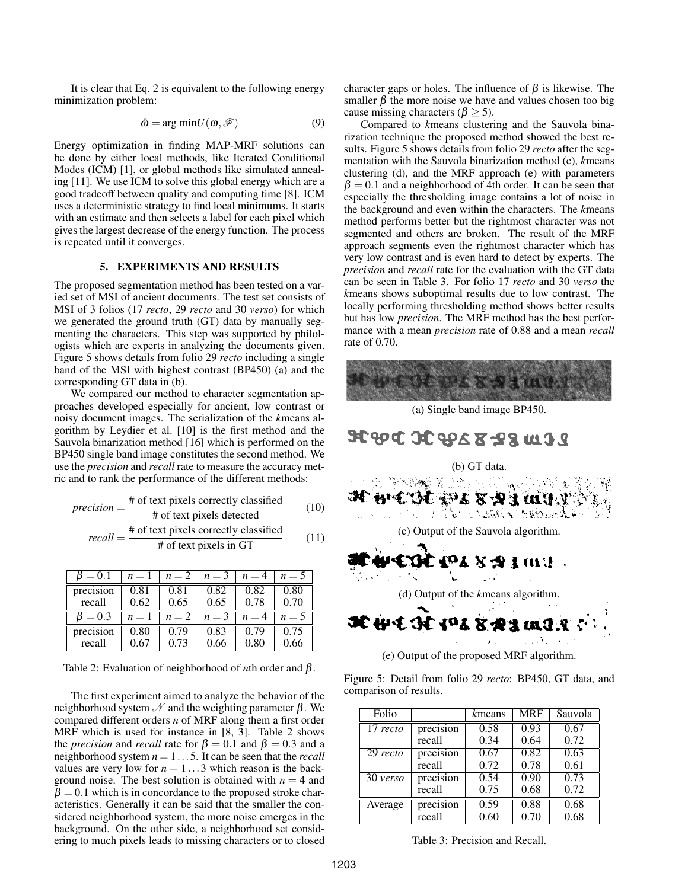It is clear that Eq. 2 is equivalent to the following energy minimization problem:

$$
\hat{\omega} = \arg \min U(\omega, \mathcal{F}) \tag{9}
$$

Energy optimization in finding MAP-MRF solutions can be done by either local methods, like Iterated Conditional Modes (ICM) [1], or global methods like simulated annealing [11]. We use ICM to solve this global energy which are a good tradeoff between quality and computing time [8]. ICM uses a deterministic strategy to find local minimums. It starts with an estimate and then selects a label for each pixel which gives the largest decrease of the energy function. The process is repeated until it converges.

#### 5. EXPERIMENTS AND RESULTS

The proposed segmentation method has been tested on a varied set of MSI of ancient documents. The test set consists of MSI of 3 folios (17 *recto*, 29 *recto* and 30 *verso*) for which we generated the ground truth (GT) data by manually segmenting the characters. This step was supported by philologists which are experts in analyzing the documents given. Figure 5 shows details from folio 29 *recto* including a single band of the MSI with highest contrast (BP450) (a) and the corresponding GT data in (b).

We compared our method to character segmentation approaches developed especially for ancient, low contrast or noisy document images. The serialization of the *k*means algorithm by Leydier et al. [10] is the first method and the Sauvola binarization method [16] which is performed on the BP450 single band image constitutes the second method. We use the *precision* and *recall* rate to measure the accuracy metric and to rank the performance of the different methods:

*precision* = 
$$
\frac{\text{\# of text pixels correctly classified}}{\text{\# of text pixels detected}}
$$
 (10)  
\n*recall* =  $\frac{\text{\# of text pixels correctly classified}}{\text{\# of text pixels in GT}}$  (11)

| $B=0.1$   | $n=1$ | $n=2$ | $n=3$ | $n=4$ | $n=5$ |
|-----------|-------|-------|-------|-------|-------|
| precision | 0.81  | 0.81  | 0.82  | 0.82  | 0.80  |
| recall    | 0.62  | 0.65  | 0.65  | 0.78  | 0.70  |
| $B=0.3$   | $n=1$ | $n=2$ | $n=3$ | $n=4$ | $n=5$ |
| precision | 0.80  | 0.79  | 0.83  | 0.79  | 0.75  |
| recall    | 0.67  | 0.73  | 0.66  | 0.80  | 0.66  |

Table 2: Evaluation of neighborhood of *n*th order and β.

The first experiment aimed to analyze the behavior of the neighborhood system  $\mathcal N$  and the weighting parameter  $\beta$ . We compared different orders *n* of MRF along them a first order MRF which is used for instance in [8, 3]. Table 2 shows the *precision* and *recall* rate for  $\beta = 0.1$  and  $\beta = 0.3$  and a neighborhood system *n* = 1...5. It can be seen that the *recall* values are very low for  $n = 1...3$  which reason is the background noise. The best solution is obtained with  $n = 4$  and  $\beta = 0.1$  which is in concordance to the proposed stroke characteristics. Generally it can be said that the smaller the considered neighborhood system, the more noise emerges in the background. On the other side, a neighborhood set considering to much pixels leads to missing characters or to closed

character gaps or holes. The influence of  $\beta$  is likewise. The smaller  $\beta$  the more noise we have and values chosen too big cause missing characters ( $\beta$  > 5).

Compared to *k*means clustering and the Sauvola binarization technique the proposed method showed the best results. Figure 5 shows details from folio 29 *recto* after the segmentation with the Sauvola binarization method (c), *k*means clustering (d), and the MRF approach (e) with parameters  $\beta = 0.1$  and a neighborhood of 4th order. It can be seen that especially the thresholding image contains a lot of noise in the background and even within the characters. The *k*means method performs better but the rightmost character was not segmented and others are broken. The result of the MRF approach segments even the rightmost character which has very low contrast and is even hard to detect by experts. The *precision* and *recall* rate for the evaluation with the GT data can be seen in Table 3. For folio 17 *recto* and 30 *verso* the *k*means shows suboptimal results due to low contrast. The locally performing thresholding method shows better results but has low *precision*. The MRF method has the best performance with a mean *precision* rate of 0.88 and a mean *recall* rate of 0.70.



Figure 5: Detail from folio 29 *recto*: BP450, GT data, and comparison of results.

| Folio      |           | kmeans | <b>MRF</b> | Sauvola |
|------------|-----------|--------|------------|---------|
| $17$ recto | precision | 0.58   | 0.93       | 0.67    |
|            | recall    | 0.34   | 0.64       | 0.72    |
| 29 recto   | precision | 0.67   | 0.82       | 0.63    |
|            | recall    | 0.72   | 0.78       | 0.61    |
| 30 verso   | precision | 0.54   | 0.90       | 0.73    |
|            | recall    | 0.75   | 0.68       | 0.72    |
| Average    | precision | 0.59   | 0.88       | 0.68    |
|            | recall    | 0.60   | 0.70       | 0.68    |

Table 3: Precision and Recall.